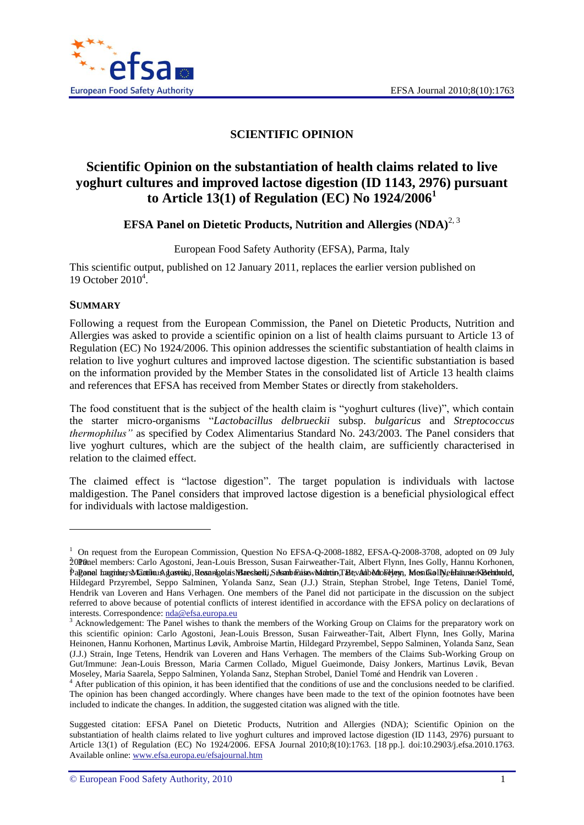

## **SCIENTIFIC OPINION**

# **Scientific Opinion on the substantiation of health claims related to live yoghurt cultures and improved lactose digestion (ID 1143, 2976) pursuant to Article 13(1) of Regulation (EC) No 1924/2006<sup>1</sup>**

## **EFSA Panel on Dietetic Products, Nutrition and Allergies (NDA)<sup>2, 3</sup>**

European Food Safety Authority (EFSA), Parma, Italy

This scientific output, published on 12 January 2011, replaces the earlier version published on 19 October 2010<sup>4</sup>.

### <span id="page-0-0"></span>**SUMMARY**

l

Following a request from the European Commission, the Panel on Dietetic Products, Nutrition and Allergies was asked to provide a scientific opinion on a list of health claims pursuant to Article 13 of Regulation (EC) No 1924/2006. This opinion addresses the scientific substantiation of health claims in relation to live yoghurt cultures and improved lactose digestion. The scientific substantiation is based on the information provided by the Member States in the consolidated list of Article 13 health claims and references that EFSA has received from Member States or directly from stakeholders.

The food constituent that is the subject of the health claim is "yoghurt cultures (live)", which contain the starter micro-organisms "*Lactobacillus delbrueckii* subsp. *bulgaricus* and *Streptococcus thermophilus"* as specified by Codex Alimentarius Standard No. 243/2003. The Panel considers that live yoghurt cultures, which are the subject of the health claim, are sufficiently characterised in relation to the claimed effect.

The claimed effect is "lactose digestion". The target population is individuals with lactose maldigestion. The Panel considers that improved lactose digestion is a beneficial physiological effect for individuals with lactose maldigestion.

<sup>&</sup>lt;sup>1</sup> On request from the European Commission, Question No EFSA-Q-2008-1882, EFSA-Q-2008-3708, adopted on 09 July 2010. 2 Panel members: Carlo Agostoni, Jean-Louis Bresson, Susan Fairweather-Tait, Albert Flynn, Ines Golly, Hannu Korhonen, .<br>Pagonel hærinersManitusAgostoku, ResnrlgolusNiaresketli,SrkanbildisevMahtein,ThieyAnbMholstjeyn, MesnGolNethäurserKBehthadd, Hildegard Przyrembel, Seppo Salminen, Yolanda Sanz, Sean (J.J.) Strain, Stephan Strobel, Inge Tetens, Daniel Tomé, Hendrik van Loveren and Hans Verhagen. One members of the Panel did not participate in the discussion on the subject referred to above because of potential conflicts of interest identified in accordance with the EFSA policy on declarations of interests. Correspondence[: nda@efsa.europa.eu](mailto:nda@efsa.europa.eu)

 $3$  Acknowledgement: The Panel wishes to thank the members of the Working Group on Claims for the preparatory work on this scientific opinion: Carlo Agostoni, Jean-Louis Bresson, Susan Fairweather-Tait, Albert Flynn, Ines Golly, Marina Heinonen, Hannu Korhonen, Martinus Løvik, Ambroise Martin, Hildegard Przyrembel, Seppo Salminen, Yolanda Sanz, Sean (J.J.) Strain, Inge Tetens, Hendrik van Loveren and Hans Verhagen. The members of the Claims Sub-Working Group on Gut/Immune: Jean-Louis Bresson, Maria Carmen Collado, Miguel Gueimonde, Daisy Jonkers, Martinus Løvik, Bevan Moseley, Maria Saarela, Seppo Salminen, Yolanda Sanz, Stephan Strobel, Daniel Tomé and Hendrik van Loveren .

<sup>&</sup>lt;sup>4</sup> After publication of this opinion, it has been identified that the conditions of use and the conclusions needed to be clarified. The opinion has been changed accordingly. Where changes have been made to the text of the opinion footnotes have been included to indicate the changes. In addition, the suggested citation was aligned with the title.

Suggested citation: EFSA Panel on Dietetic Products, Nutrition and Allergies (NDA); Scientific Opinion on the substantiation of health claims related to live yoghurt cultures and improved lactose digestion (ID 1143, 2976) pursuant to Article 13(1) of Regulation (EC) No 1924/2006. EFSA Journal 2010;8(10):1763. [18 pp.]. doi:10.2903/j.efsa.2010.1763. Available online: www.efsa.europa.eu/efsajournal.htm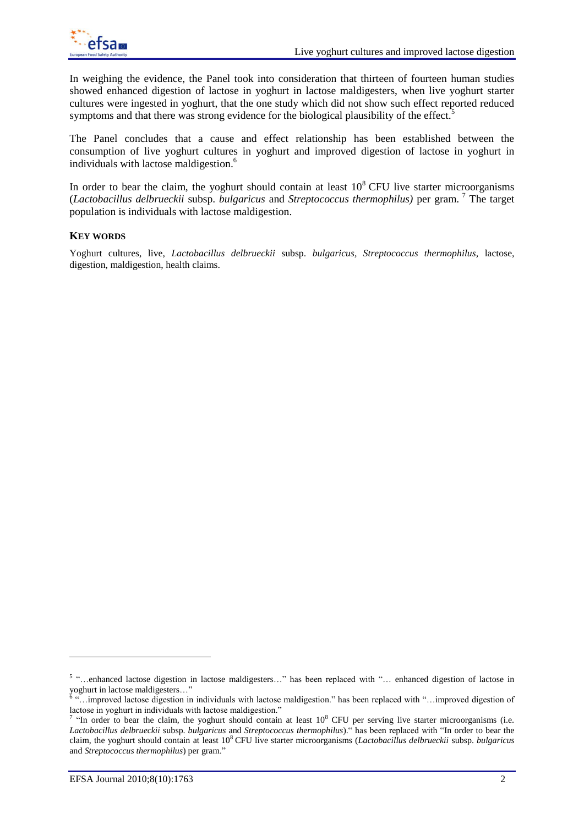In weighing the evidence, the Panel took into consideration that thirteen of fourteen human studies showed enhanced digestion of lactose in yoghurt in lactose maldigesters, when live yoghurt starter cultures were ingested in yoghurt, that the one study which did not show such effect reported reduced symptoms and that there was strong evidence for the biological plausibility of the effect.<sup>5</sup>

The Panel concludes that a cause and effect relationship has been established between the consumption of live yoghurt cultures in yoghurt and improved digestion of lactose in yoghurt in individuals with lactose maldigestion. 6

In order to bear the claim, the yoghurt should contain at least  $10<sup>8</sup>$  CFU live starter microorganisms (*Lactobacillus delbrueckii* subsp. *bulgaricus* and *Streptococcus thermophilus)* per gram. <sup>7</sup> The target population is individuals with lactose maldigestion.

#### **KEY WORDS**

Yoghurt cultures, live, *Lactobacillus delbrueckii* subsp. *bulgaricus, Streptococcus thermophilus,* lactose, digestion, maldigestion, health claims.

l

<sup>5</sup> "…enhanced lactose digestion in lactose maldigesters…" has been replaced with "… enhanced digestion of lactose in

yoghurt in lactose maldigesters…" 6 "…improved lactose digestion in individuals with lactose maldigestion." has been replaced with "…improved digestion of lactose in yoghurt in individuals with lactose maldigestion."

<sup>&</sup>lt;sup>7</sup> "In order to bear the claim, the yoghurt should contain at least  $10^8$  CFU per serving live starter microorganisms (i.e. *Lactobacillus delbrueckii* subsp. *bulgaricus* and *Streptococcus thermophilus*)." has been replaced with "In order to bear the claim, the yoghurt should contain at least 10<sup>8</sup>CFU live starter microorganisms (*Lactobacillus delbrueckii* subsp. *bulgaricus* and *Streptococcus thermophilus*) per gram."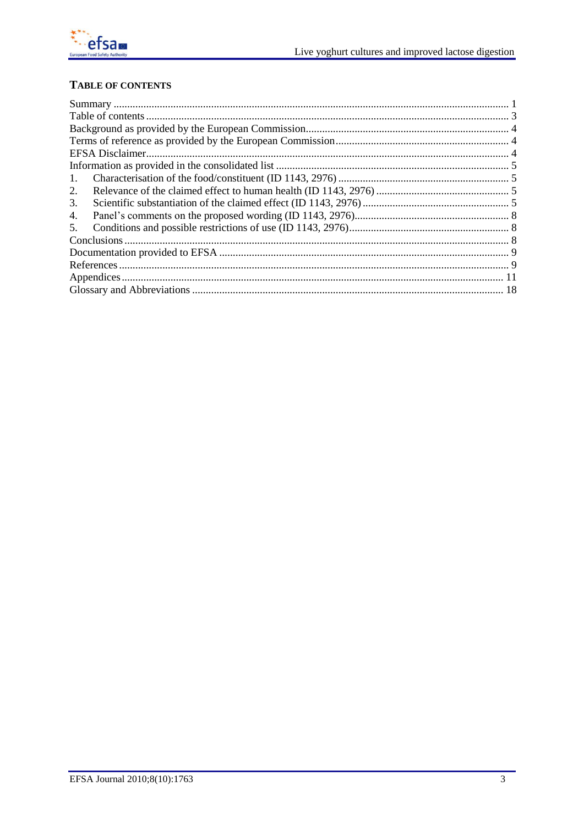

## <span id="page-2-0"></span>TABLE OF CONTENTS

| 1. |  |  |  |
|----|--|--|--|
| 2. |  |  |  |
| 3. |  |  |  |
| 4. |  |  |  |
| 5. |  |  |  |
|    |  |  |  |
|    |  |  |  |
|    |  |  |  |
|    |  |  |  |
|    |  |  |  |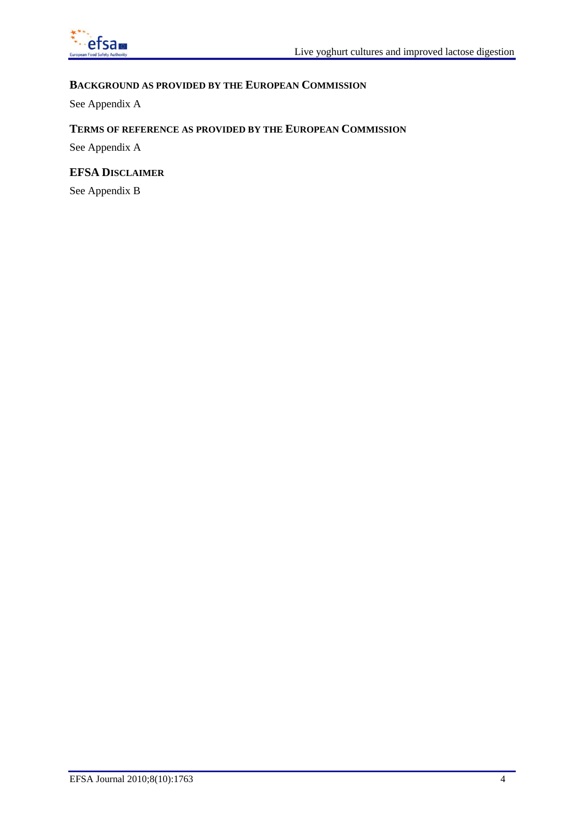

## <span id="page-3-0"></span>**BACKGROUND AS PROVIDED BY THE EUROPEAN COMMISSION**

See Appendix A

## <span id="page-3-1"></span>**TERMS OF REFERENCE AS PROVIDED BY THE EUROPEAN COMMISSION**

See Appendix A

## <span id="page-3-2"></span>**EFSA DISCLAIMER**

See Appendix B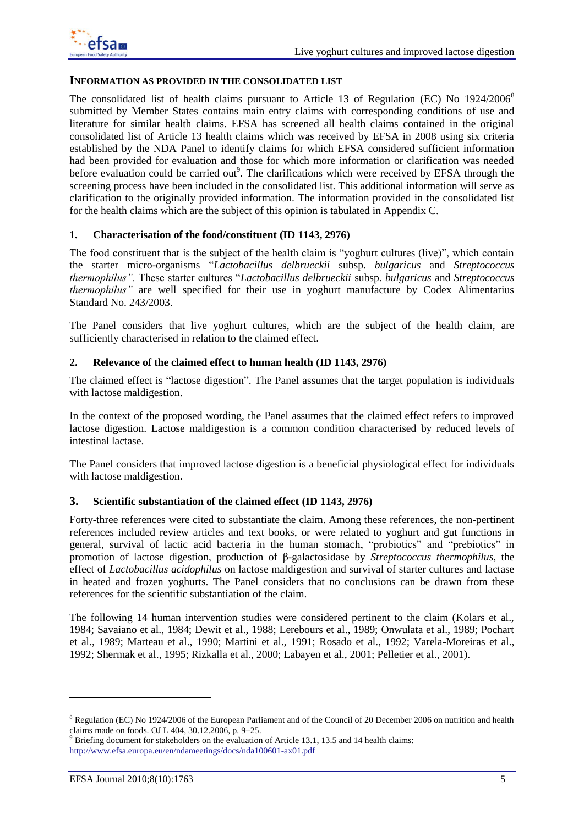

#### <span id="page-4-0"></span>**INFORMATION AS PROVIDED IN THE CONSOLIDATED LIST**

The consolidated list of health claims pursuant to Article 13 of Regulation (EC) No 1924/2006<sup>8</sup> submitted by Member States contains main entry claims with corresponding conditions of use and literature for similar health claims. EFSA has screened all health claims contained in the original consolidated list of Article 13 health claims which was received by EFSA in 2008 using six criteria established by the NDA Panel to identify claims for which EFSA considered sufficient information had been provided for evaluation and those for which more information or clarification was needed before evaluation could be carried out<sup>9</sup>. The clarifications which were received by EFSA through the screening process have been included in the consolidated list. This additional information will serve as clarification to the originally provided information. The information provided in the consolidated list for the health claims which are the subject of this opinion is tabulated in Appendix C.

#### <span id="page-4-1"></span>**1. Characterisation of the food/constituent (ID 1143, 2976)**

The food constituent that is the subject of the health claim is "yoghurt cultures (live)", which contain the starter micro-organisms "*Lactobacillus delbrueckii* subsp. *bulgaricus* and *Streptococcus thermophilus".* These starter cultures "*Lactobacillus delbrueckii* subsp. *bulgaricus* and *Streptococcus thermophilus"* are well specified for their use in yoghurt manufacture by Codex Alimentarius Standard No. 243/2003.

The Panel considers that live yoghurt cultures, which are the subject of the health claim, are sufficiently characterised in relation to the claimed effect.

#### <span id="page-4-2"></span>**2. Relevance of the claimed effect to human health (ID 1143, 2976)**

The claimed effect is "lactose digestion". The Panel assumes that the target population is individuals with lactose maldigestion.

In the context of the proposed wording, the Panel assumes that the claimed effect refers to improved lactose digestion. Lactose maldigestion is a common condition characterised by reduced levels of intestinal lactase.

The Panel considers that improved lactose digestion is a beneficial physiological effect for individuals with lactose maldigestion.

#### <span id="page-4-3"></span>**3. Scientific substantiation of the claimed effect (ID 1143, 2976)**

Forty-three references were cited to substantiate the claim. Among these references, the non-pertinent references included review articles and text books, or were related to yoghurt and gut functions in general, survival of lactic acid bacteria in the human stomach, "probiotics" and "prebiotics" in promotion of lactose digestion, production of β-galactosidase by *Streptococcus thermophilus*, the effect of *Lactobacillus acidophilus* on lactose maldigestion and survival of starter cultures and lactase in heated and frozen yoghurts. The Panel considers that no conclusions can be drawn from these references for the scientific substantiation of the claim.

The following 14 human intervention studies were considered pertinent to the claim (Kolars et al., 1984; Savaiano et al., 1984; Dewit et al., 1988; Lerebours et al., 1989; Onwulata et al., 1989; Pochart et al., 1989; Marteau et al., 1990; Martini et al., 1991; Rosado et al., 1992; Varela-Moreiras et al., 1992; Shermak et al., 1995; Rizkalla et al., 2000; Labayen et al., 2001; Pelletier et al., 2001).

 $\overline{a}$ 

<sup>&</sup>lt;sup>8</sup> Regulation (EC) No 1924/2006 of the European Parliament and of the Council of 20 December 2006 on nutrition and health claims made on foods. OJ L 404, 30.12.2006, p. 9–25.

<sup>&</sup>lt;sup>9</sup> Briefing document for stakeholders on the evaluation of Article 13.1, 13.5 and 14 health claims: <http://www.efsa.europa.eu/en/ndameetings/docs/nda100601-ax01.pdf>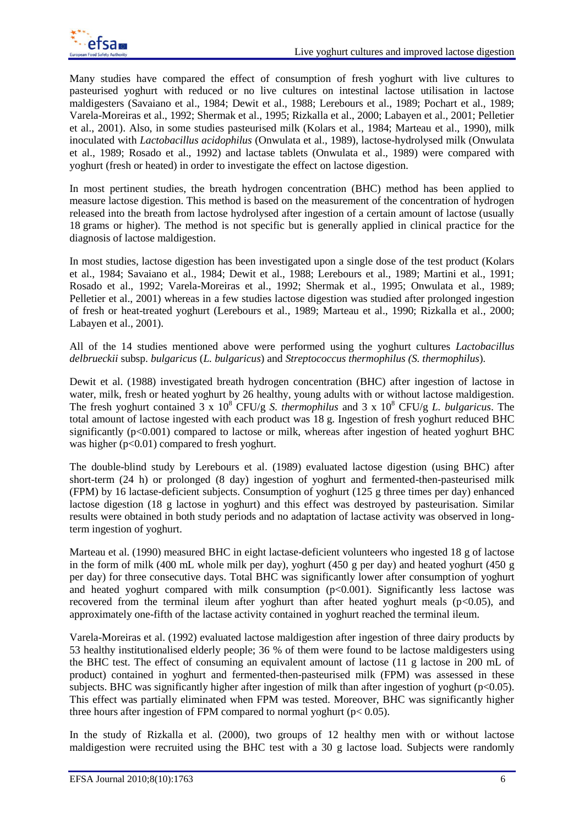Many studies have compared the effect of consumption of fresh yoghurt with live cultures to pasteurised yoghurt with reduced or no live cultures on intestinal lactose utilisation in lactose maldigesters (Savaiano et al., 1984; Dewit et al., 1988; Lerebours et al., 1989; Pochart et al., 1989; Varela-Moreiras et al., 1992; Shermak et al., 1995; Rizkalla et al., 2000; Labayen et al., 2001; Pelletier et al., 2001). Also, in some studies pasteurised milk (Kolars et al., 1984; Marteau et al., 1990), milk inoculated with *Lactobacillus acidophilus* (Onwulata et al., 1989), lactose-hydrolysed milk (Onwulata et al., 1989; Rosado et al., 1992) and lactase tablets (Onwulata et al., 1989) were compared with yoghurt (fresh or heated) in order to investigate the effect on lactose digestion.

In most pertinent studies, the breath hydrogen concentration (BHC) method has been applied to measure lactose digestion. This method is based on the measurement of the concentration of hydrogen released into the breath from lactose hydrolysed after ingestion of a certain amount of lactose (usually 18 grams or higher). The method is not specific but is generally applied in clinical practice for the diagnosis of lactose maldigestion.

In most studies, lactose digestion has been investigated upon a single dose of the test product (Kolars et al., 1984; Savaiano et al., 1984; Dewit et al., 1988; Lerebours et al., 1989; Martini et al., 1991; Rosado et al., 1992; Varela-Moreiras et al., 1992; Shermak et al., 1995; Onwulata et al., 1989; Pelletier et al., 2001) whereas in a few studies lactose digestion was studied after prolonged ingestion of fresh or heat-treated yoghurt (Lerebours et al., 1989; Marteau et al., 1990; Rizkalla et al., 2000; Labayen et al., 2001).

All of the 14 studies mentioned above were performed using the yoghurt cultures *Lactobacillus delbrueckii* subsp. *bulgaricus* (*L. bulgaricus*) and *Streptococcus thermophilus (S. thermophilus*)*.*

Dewit et al. (1988) investigated breath hydrogen concentration (BHC) after ingestion of lactose in water, milk, fresh or heated yoghurt by 26 healthy, young adults with or without lactose maldigestion. The fresh yoghurt contained 3 x 10<sup>8</sup> CFU/g *S. thermophilus* and 3 x 10<sup>8</sup> CFU/g *L. bulgaricus*. The total amount of lactose ingested with each product was 18 g. Ingestion of fresh yoghurt reduced BHC significantly  $(p<0.001)$  compared to lactose or milk, whereas after ingestion of heated yoghurt BHC was higher  $(p<0.01)$  compared to fresh yoghurt.

The double-blind study by Lerebours et al. (1989) evaluated lactose digestion (using BHC) after short-term (24 h) or prolonged (8 day) ingestion of yoghurt and fermented-then-pasteurised milk (FPM) by 16 lactase-deficient subjects. Consumption of yoghurt (125 g three times per day) enhanced lactose digestion (18 g lactose in yoghurt) and this effect was destroyed by pasteurisation. Similar results were obtained in both study periods and no adaptation of lactase activity was observed in longterm ingestion of yoghurt.

Marteau et al. (1990) measured BHC in eight lactase-deficient volunteers who ingested 18 g of lactose in the form of milk (400 mL whole milk per day), yoghurt (450 g per day) and heated yoghurt (450 g per day) for three consecutive days. Total BHC was significantly lower after consumption of yoghurt and heated yoghurt compared with milk consumption  $(p<0.001)$ . Significantly less lactose was recovered from the terminal ileum after yoghurt than after heated yoghurt meals ( $p<0.05$ ), and approximately one-fifth of the lactase activity contained in yoghurt reached the terminal ileum.

Varela-Moreiras et al. (1992) evaluated lactose maldigestion after ingestion of three dairy products by 53 healthy institutionalised elderly people; 36 % of them were found to be lactose maldigesters using the BHC test. The effect of consuming an equivalent amount of lactose (11 g lactose in 200 mL of product) contained in yoghurt and fermented-then-pasteurised milk (FPM) was assessed in these subjects. BHC was significantly higher after ingestion of milk than after ingestion of yoghurt ( $p<0.05$ ). This effect was partially eliminated when FPM was tested. Moreover, BHC was significantly higher three hours after ingestion of FPM compared to normal yoghurt ( $p < 0.05$ ).

In the study of Rizkalla et al. (2000), two groups of 12 healthy men with or without lactose maldigestion were recruited using the BHC test with a 30 g lactose load. Subjects were randomly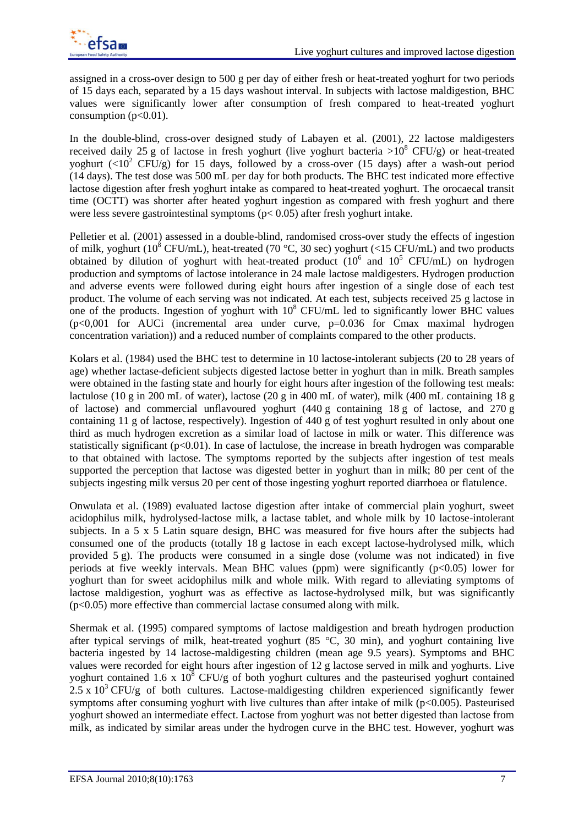

assigned in a cross-over design to 500 g per day of either fresh or heat-treated yoghurt for two periods of 15 days each, separated by a 15 days washout interval. In subjects with lactose maldigestion, BHC values were significantly lower after consumption of fresh compared to heat-treated yoghurt consumption  $(p<0.01)$ .

In the double-blind, cross-over designed study of Labayen et al. (2001), 22 lactose maldigesters received daily 25 g of lactose in fresh yoghurt (live yoghurt bacteria  $>10^8$  CFU/g) or heat-treated yoghurt  $\langle \langle 10^2 \text{ CFU/g} \rangle$  for 15 days, followed by a cross-over (15 days) after a wash-out period (14 days). The test dose was 500 mL per day for both products. The BHC test indicated more effective lactose digestion after fresh yoghurt intake as compared to heat-treated yoghurt. The orocaecal transit time (OCTT) was shorter after heated yoghurt ingestion as compared with fresh yoghurt and there were less severe gastrointestinal symptoms ( $p < 0.05$ ) after fresh yoghurt intake.

Pelletier et al. (2001) assessed in a double-blind, randomised cross-over study the effects of ingestion of milk, yoghurt (10<sup>8</sup> CFU/mL), heat-treated (70 °C, 30 sec) yoghurt (<15 CFU/mL) and two products obtained by dilution of yoghurt with heat-treated product  $(10^6 \text{ and } 10^5 \text{ CFU/mL})$  on hydrogen production and symptoms of lactose intolerance in 24 male lactose maldigesters. Hydrogen production and adverse events were followed during eight hours after ingestion of a single dose of each test product. The volume of each serving was not indicated. At each test, subjects received 25 g lactose in one of the products. Ingestion of yoghurt with  $10^8$  CFU/mL led to significantly lower BHC values  $(p<0,001$  for AUCi (incremental area under curve,  $p=0.036$  for Cmax maximal hydrogen concentration variation)) and a reduced number of complaints compared to the other products.

Kolars et al. (1984) used the BHC test to determine in 10 lactose-intolerant subjects (20 to 28 years of age) whether lactase-deficient subjects digested lactose better in yoghurt than in milk. Breath samples were obtained in the fasting state and hourly for eight hours after ingestion of the following test meals: lactulose (10 g in 200 mL of water), lactose (20 g in 400 mL of water), milk (400 mL containing 18 g of lactose) and commercial unflavoured yoghurt (440 g containing 18 g of lactose, and 270 g containing 11 g of lactose, respectively). Ingestion of 440 g of test yoghurt resulted in only about one third as much hydrogen excretion as a similar load of lactose in milk or water. This difference was statistically significant  $(p<0.01)$ . In case of lactulose, the increase in breath hydrogen was comparable to that obtained with lactose. The symptoms reported by the subjects after ingestion of test meals supported the perception that lactose was digested better in yoghurt than in milk; 80 per cent of the subjects ingesting milk versus 20 per cent of those ingesting yoghurt reported diarrhoea or flatulence.

Onwulata et al. (1989) evaluated lactose digestion after intake of commercial plain yoghurt, sweet acidophilus milk, hydrolysed-lactose milk, a lactase tablet, and whole milk by 10 lactose-intolerant subjects. In a 5 x 5 Latin square design, BHC was measured for five hours after the subjects had consumed one of the products (totally 18 g lactose in each except lactose-hydrolysed milk, which provided  $5 g$ ). The products were consumed in a single dose (volume was not indicated) in five periods at five weekly intervals. Mean BHC values (ppm) were significantly (p<0.05) lower for yoghurt than for sweet acidophilus milk and whole milk. With regard to alleviating symptoms of lactose maldigestion, yoghurt was as effective as lactose-hydrolysed milk, but was significantly  $(p<0.05)$  more effective than commercial lactase consumed along with milk.

Shermak et al. (1995) compared symptoms of lactose maldigestion and breath hydrogen production after typical servings of milk, heat-treated yoghurt  $(85 \degree C, 30 \text{ min})$ , and yoghurt containing live bacteria ingested by 14 lactose-maldigesting children (mean age 9.5 years). Symptoms and BHC values were recorded for eight hours after ingestion of 12 g lactose served in milk and yoghurts. Live yoghurt contained 1.6 x  $10^8$  CFU/g of both yoghurt cultures and the pasteurised yoghurt contained  $2.5 \times 10^3$  CFU/g of both cultures. Lactose-maldigesting children experienced significantly fewer symptoms after consuming yoghurt with live cultures than after intake of milk (p<0.005). Pasteurised yoghurt showed an intermediate effect. Lactose from yoghurt was not better digested than lactose from milk, as indicated by similar areas under the hydrogen curve in the BHC test. However, yoghurt was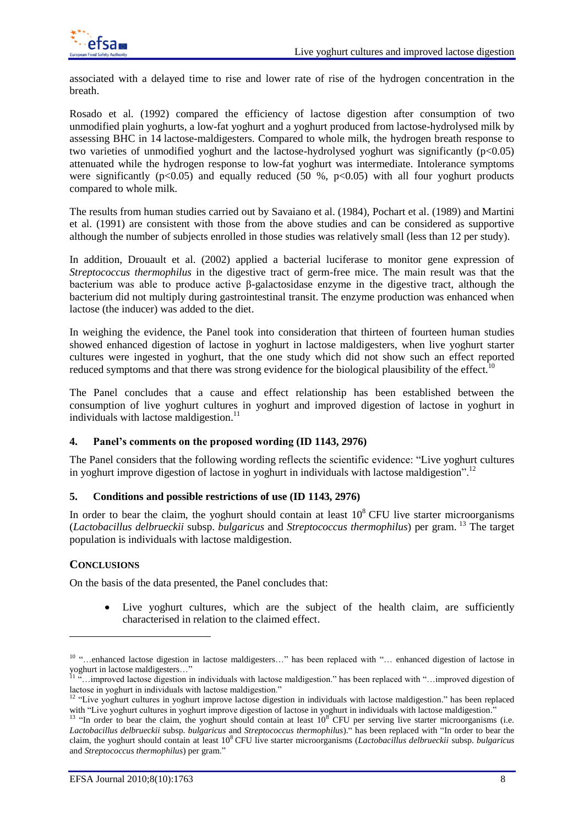

associated with a delayed time to rise and lower rate of rise of the hydrogen concentration in the breath.

Rosado et al. (1992) compared the efficiency of lactose digestion after consumption of two unmodified plain yoghurts, a low-fat yoghurt and a yoghurt produced from lactose-hydrolysed milk by assessing BHC in 14 lactose-maldigesters. Compared to whole milk, the hydrogen breath response to two varieties of unmodified yoghurt and the lactose-hydrolysed yoghurt was significantly (p<0.05) attenuated while the hydrogen response to low-fat yoghurt was intermediate. Intolerance symptoms were significantly ( $p<0.05$ ) and equally reduced (50 %,  $p<0.05$ ) with all four yoghurt products compared to whole milk.

The results from human studies carried out by Savaiano et al. (1984), Pochart et al. (1989) and Martini et al. (1991) are consistent with those from the above studies and can be considered as supportive although the number of subjects enrolled in those studies was relatively small (less than 12 per study).

In addition, Drouault et al. (2002) applied a bacterial luciferase to monitor gene expression of *Streptococcus thermophilus* in the digestive tract of germ-free mice. The main result was that the bacterium was able to produce active β-galactosidase enzyme in the digestive tract, although the bacterium did not multiply during gastrointestinal transit. The enzyme production was enhanced when lactose (the inducer) was added to the diet.

In weighing the evidence, the Panel took into consideration that thirteen of fourteen human studies showed enhanced digestion of lactose in yoghurt in lactose maldigesters, when live yoghurt starter cultures were ingested in yoghurt, that the one study which did not show such an effect reported reduced symptoms and that there was strong evidence for the biological plausibility of the effect.<sup>1</sup>

The Panel concludes that a cause and effect relationship has been established between the consumption of live yoghurt cultures in yoghurt and improved digestion of lactose in yoghurt in individuals with lactose maldigestion. 11

## <span id="page-7-0"></span>**4. Panel's comments on the proposed wording (ID 1143, 2976)**

The Panel considers that the following wording reflects the scientific evidence: "Live yoghurt cultures in yoghurt improve digestion of lactose in yoghurt in individuals with lactose maldigestion".<sup>12</sup>

#### <span id="page-7-1"></span>**5. Conditions and possible restrictions of use (ID 1143, 2976)**

In order to bear the claim, the yoghurt should contain at least  $10<sup>8</sup>$  CFU live starter microorganisms (*Lactobacillus delbrueckii* subsp. *bulgaricus* and *Streptococcus thermophilus*) per gram. <sup>13</sup> The target population is individuals with lactose maldigestion.

### <span id="page-7-2"></span>**CONCLUSIONS**

l

On the basis of the data presented, the Panel concludes that:

Live yoghurt cultures, which are the subject of the health claim, are sufficiently characterised in relation to the claimed effect.

<sup>10 &</sup>quot;...enhanced lactose digestion in lactose maldigesters..." has been replaced with "... enhanced digestion of lactose in yoghurt in lactose maldigesters…"

<sup>&</sup>lt;sup>11  $\alpha$ </sup>…improved lactose digestion in individuals with lactose maldigestion." has been replaced with "…improved digestion of lactose in yoghurt in individuals with lactose maldigestion."

<sup>&</sup>lt;sup>12</sup> "Live yoghurt cultures in yoghurt improve lactose digestion in individuals with lactose maldigestion." has been replaced with "Live yoghurt cultures in yoghurt improve digestion of lactose in yoghurt in individuals with lactose maldigestion."

<sup>&</sup>lt;sup>13</sup> "In order to bear the claim, the yoghurt should contain at least  $10^8$  CFU per serving live starter microorganisms (i.e. *Lactobacillus delbrueckii* subsp. *bulgaricus* and *Streptococcus thermophilus*)." has been replaced with "In order to bear the claim, the yoghurt should contain at least 10<sup>8</sup>CFU live starter microorganisms (*Lactobacillus delbrueckii* subsp. *bulgaricus* and *Streptococcus thermophilus*) per gram."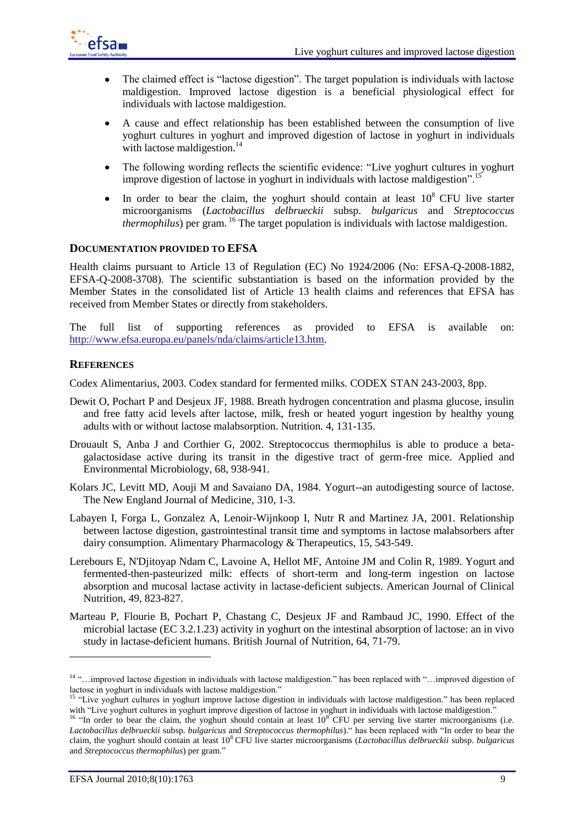

- The claimed effect is "lactose digestion". The target population is individuals with lactose maldigestion. Improved lactose digestion is a beneficial physiological effect for individuals with lactose maldigestion.
- A cause and effect relationship has been established between the consumption of live  $\bullet$ yoghurt cultures in yoghurt and improved digestion of lactose in yoghurt in individuals with lactose maldigestion.<sup>14</sup>
- The following wording reflects the scientific evidence: "Live yoghurt cultures in yoghurt  $\bullet$ improve digestion of lactose in yoghurt in individuals with lactose maldigestion".<sup>15</sup>
- In order to bear the claim, the yoghurt should contain at least  $10<sup>8</sup>$  CFU live starter  $\bullet$ microorganisms (*Lactobacillus delbrueckii* subsp. *bulgaricus* and *Streptococcus thermophilus*) per gram. <sup>16</sup> The target population is individuals with lactose maldigestion.

#### <span id="page-8-0"></span>**DOCUMENTATION PROVIDED TO EFSA**

Health claims pursuant to Article 13 of Regulation (EC) No 1924/2006 (No: EFSA-Q-2008-1882, EFSA-Q-2008-3708). The scientific substantiation is based on the information provided by the Member States in the consolidated list of Article 13 health claims and references that EFSA has received from Member States or directly from stakeholders.

The full list of supporting references as provided to EFSA is available on: [http://www.efsa.europa.eu/panels/nda/claims/article13.htm.](http://www.efsa.europa.eu/panels/nda/claims/article13.htm)

#### <span id="page-8-1"></span>**REFERENCES**

Codex Alimentarius, 2003. Codex standard for fermented milks. CODEX STAN 243-2003, 8pp.

- Dewit O, Pochart P and Desjeux JF, 1988. Breath hydrogen concentration and plasma glucose, insulin and free fatty acid levels after lactose, milk, fresh or heated yogurt ingestion by healthy young adults with or without lactose malabsorption. Nutrition. 4, 131-135.
- Drouault S, Anba J and Corthier G, 2002. Streptococcus thermophilus is able to produce a betagalactosidase active during its transit in the digestive tract of germ-free mice. Applied and Environmental Microbiology, 68, 938-941.
- Kolars JC, Levitt MD, Aouji M and Savaiano DA, 1984. Yogurt--an autodigesting source of lactose. The New England Journal of Medicine, 310, 1-3.
- Labayen I, Forga L, Gonzalez A, Lenoir-Wijnkoop I, Nutr R and Martinez JA, 2001. Relationship between lactose digestion, gastrointestinal transit time and symptoms in lactose malabsorbers after dairy consumption. Alimentary Pharmacology & Therapeutics, 15, 543-549.
- Lerebours E, N'Djitoyap Ndam C, Lavoine A, Hellot MF, Antoine JM and Colin R, 1989. Yogurt and fermented-then-pasteurized milk: effects of short-term and long-term ingestion on lactose absorption and mucosal lactase activity in lactase-deficient subjects. American Journal of Clinical Nutrition, 49, 823-827.
- Marteau P, Flourie B, Pochart P, Chastang C, Desjeux JF and Rambaud JC, 1990. Effect of the microbial lactase (EC 3.2.1.23) activity in yoghurt on the intestinal absorption of lactose: an in vivo study in lactase-deficient humans. British Journal of Nutrition, 64, 71-79.

l

<sup>14</sup> "…improved lactose digestion in individuals with lactose maldigestion." has been replaced with "…improved digestion of lactose in yoghurt in individuals with lactose maldigestion."

<sup>&</sup>lt;sup>15</sup> "Live yoghurt cultures in yoghurt improve lactose digestion in individuals with lactose maldigestion." has been replaced with "Live yoghurt cultures in yoghurt improve digestion of lactose in yoghurt in individuals with lactose maldigestion."

<sup>&</sup>lt;sup>16</sup> "In order to bear the claim, the yoghurt should contain at least  $10^8$  CFU per serving live starter microorganisms (i.e. *Lactobacillus delbrueckii* subsp. *bulgaricus* and *Streptococcus thermophilus*)." has been replaced with "In order to bear the claim, the yoghurt should contain at least 10<sup>8</sup>CFU live starter microorganisms (*Lactobacillus delbrueckii* subsp. *bulgaricus* and *Streptococcus thermophilus*) per gram."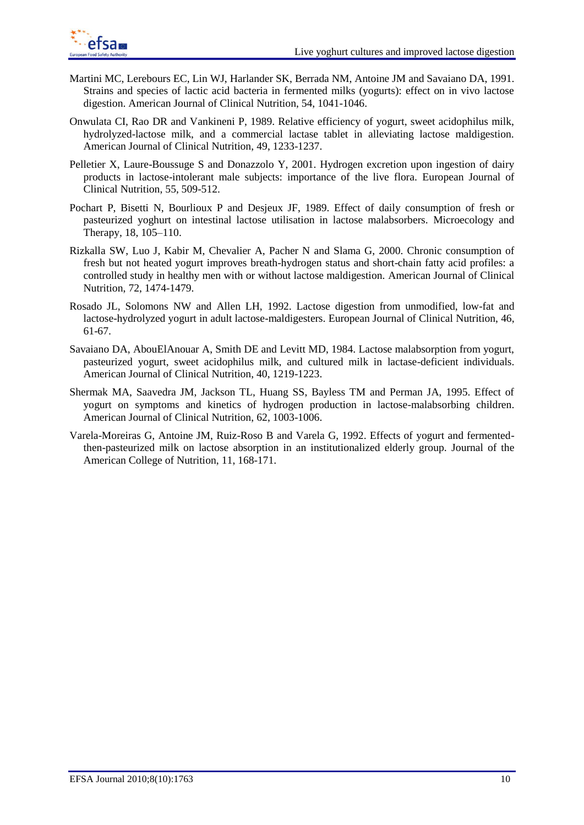- Martini MC, Lerebours EC, Lin WJ, Harlander SK, Berrada NM, Antoine JM and Savaiano DA, 1991. Strains and species of lactic acid bacteria in fermented milks (yogurts): effect on in vivo lactose digestion. American Journal of Clinical Nutrition, 54, 1041-1046.
- Onwulata CI, Rao DR and Vankineni P, 1989. Relative efficiency of yogurt, sweet acidophilus milk, hydrolyzed-lactose milk, and a commercial lactase tablet in alleviating lactose maldigestion. American Journal of Clinical Nutrition, 49, 1233-1237.
- Pelletier X, Laure-Boussuge S and Donazzolo Y, 2001. Hydrogen excretion upon ingestion of dairy products in lactose-intolerant male subjects: importance of the live flora. European Journal of Clinical Nutrition, 55, 509-512.
- Pochart P, Bisetti N, Bourlioux P and Desjeux JF, 1989. Effect of daily consumption of fresh or pasteurized yoghurt on intestinal lactose utilisation in lactose malabsorbers. Microecology and Therapy, 18, 105–110.
- Rizkalla SW, Luo J, Kabir M, Chevalier A, Pacher N and Slama G, 2000. Chronic consumption of fresh but not heated yogurt improves breath-hydrogen status and short-chain fatty acid profiles: a controlled study in healthy men with or without lactose maldigestion. American Journal of Clinical Nutrition, 72, 1474-1479.
- Rosado JL, Solomons NW and Allen LH, 1992. Lactose digestion from unmodified, low-fat and lactose-hydrolyzed yogurt in adult lactose-maldigesters. European Journal of Clinical Nutrition, 46, 61-67.
- Savaiano DA, AbouElAnouar A, Smith DE and Levitt MD, 1984. Lactose malabsorption from yogurt, pasteurized yogurt, sweet acidophilus milk, and cultured milk in lactase-deficient individuals. American Journal of Clinical Nutrition, 40, 1219-1223.
- Shermak MA, Saavedra JM, Jackson TL, Huang SS, Bayless TM and Perman JA, 1995. Effect of yogurt on symptoms and kinetics of hydrogen production in lactose-malabsorbing children. American Journal of Clinical Nutrition, 62, 1003-1006.
- Varela-Moreiras G, Antoine JM, Ruiz-Roso B and Varela G, 1992. Effects of yogurt and fermentedthen-pasteurized milk on lactose absorption in an institutionalized elderly group. Journal of the American College of Nutrition, 11, 168-171.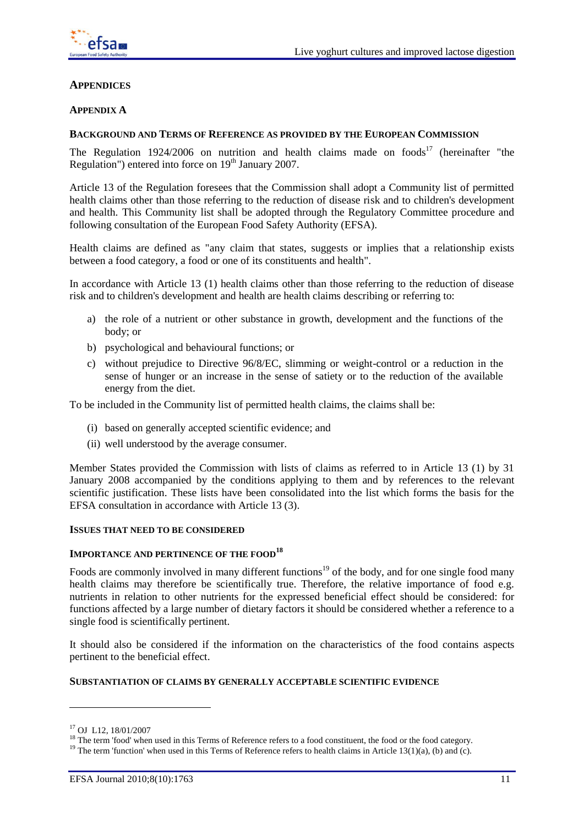

### <span id="page-10-0"></span>**APPENDICES**

#### **APPENDIX A**

## **BACKGROUND AND TERMS OF REFERENCE AS PROVIDED BY THE EUROPEAN COMMISSION**

The Regulation  $1924/2006$  on nutrition and health claims made on foods<sup>17</sup> (hereinafter "the Regulation") entered into force on  $19<sup>th</sup>$  January 2007.

Article 13 of the Regulation foresees that the Commission shall adopt a Community list of permitted health claims other than those referring to the reduction of disease risk and to children's development and health. This Community list shall be adopted through the Regulatory Committee procedure and following consultation of the European Food Safety Authority (EFSA).

Health claims are defined as "any claim that states, suggests or implies that a relationship exists between a food category, a food or one of its constituents and health".

In accordance with Article 13 (1) health claims other than those referring to the reduction of disease risk and to children's development and health are health claims describing or referring to:

- a) the role of a nutrient or other substance in growth, development and the functions of the body; or
- b) psychological and behavioural functions; or
- c) without prejudice to Directive 96/8/EC, slimming or weight-control or a reduction in the sense of hunger or an increase in the sense of satiety or to the reduction of the available energy from the diet.

To be included in the Community list of permitted health claims, the claims shall be:

- (i) based on generally accepted scientific evidence; and
- (ii) well understood by the average consumer.

Member States provided the Commission with lists of claims as referred to in Article 13 (1) by 31 January 2008 accompanied by the conditions applying to them and by references to the relevant scientific justification. These lists have been consolidated into the list which forms the basis for the EFSA consultation in accordance with Article 13 (3).

#### **ISSUES THAT NEED TO BE CONSIDERED**

## **IMPORTANCE AND PERTINENCE OF THE FOOD<sup>18</sup>**

Foods are commonly involved in many different functions<sup>19</sup> of the body, and for one single food many health claims may therefore be scientifically true. Therefore, the relative importance of food e.g. nutrients in relation to other nutrients for the expressed beneficial effect should be considered: for functions affected by a large number of dietary factors it should be considered whether a reference to a single food is scientifically pertinent.

It should also be considered if the information on the characteristics of the food contains aspects pertinent to the beneficial effect.

#### **SUBSTANTIATION OF CLAIMS BY GENERALLY ACCEPTABLE SCIENTIFIC EVIDENCE**

l

<sup>17</sup> OJ L12, 18/01/2007

<sup>&</sup>lt;sup>18</sup> The term 'food' when used in this Terms of Reference refers to a food constituent, the food or the food category.

<sup>&</sup>lt;sup>19</sup> The term 'function' when used in this Terms of Reference refers to health claims in Article 13(1)(a), (b) and (c).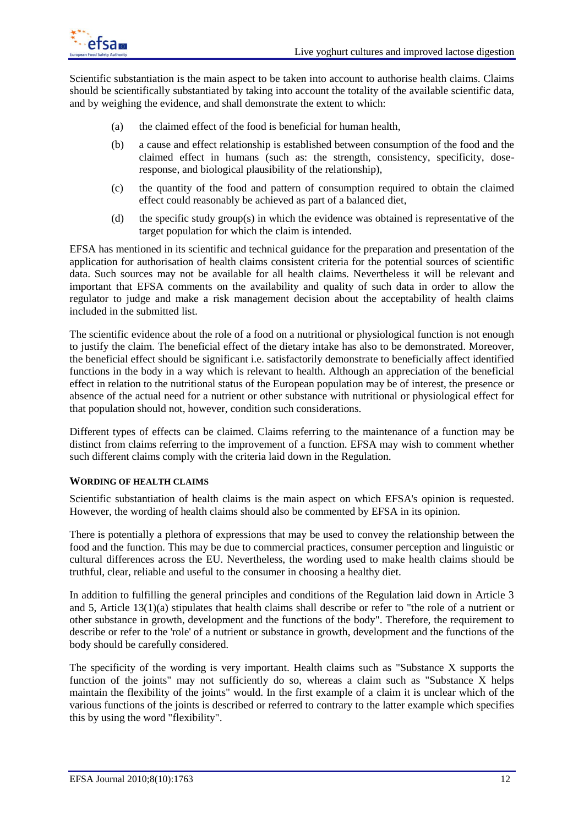

Scientific substantiation is the main aspect to be taken into account to authorise health claims. Claims should be scientifically substantiated by taking into account the totality of the available scientific data, and by weighing the evidence, and shall demonstrate the extent to which:

- (a) the claimed effect of the food is beneficial for human health,
- (b) a cause and effect relationship is established between consumption of the food and the claimed effect in humans (such as: the strength, consistency, specificity, doseresponse, and biological plausibility of the relationship),
- (c) the quantity of the food and pattern of consumption required to obtain the claimed effect could reasonably be achieved as part of a balanced diet,
- (d) the specific study group(s) in which the evidence was obtained is representative of the target population for which the claim is intended.

EFSA has mentioned in its scientific and technical guidance for the preparation and presentation of the application for authorisation of health claims consistent criteria for the potential sources of scientific data. Such sources may not be available for all health claims. Nevertheless it will be relevant and important that EFSA comments on the availability and quality of such data in order to allow the regulator to judge and make a risk management decision about the acceptability of health claims included in the submitted list.

The scientific evidence about the role of a food on a nutritional or physiological function is not enough to justify the claim. The beneficial effect of the dietary intake has also to be demonstrated. Moreover, the beneficial effect should be significant i.e. satisfactorily demonstrate to beneficially affect identified functions in the body in a way which is relevant to health. Although an appreciation of the beneficial effect in relation to the nutritional status of the European population may be of interest, the presence or absence of the actual need for a nutrient or other substance with nutritional or physiological effect for that population should not, however, condition such considerations.

Different types of effects can be claimed. Claims referring to the maintenance of a function may be distinct from claims referring to the improvement of a function. EFSA may wish to comment whether such different claims comply with the criteria laid down in the Regulation.

#### **WORDING OF HEALTH CLAIMS**

Scientific substantiation of health claims is the main aspect on which EFSA's opinion is requested. However, the wording of health claims should also be commented by EFSA in its opinion.

There is potentially a plethora of expressions that may be used to convey the relationship between the food and the function. This may be due to commercial practices, consumer perception and linguistic or cultural differences across the EU. Nevertheless, the wording used to make health claims should be truthful, clear, reliable and useful to the consumer in choosing a healthy diet.

In addition to fulfilling the general principles and conditions of the Regulation laid down in Article 3 and 5, Article 13(1)(a) stipulates that health claims shall describe or refer to "the role of a nutrient or other substance in growth, development and the functions of the body". Therefore, the requirement to describe or refer to the 'role' of a nutrient or substance in growth, development and the functions of the body should be carefully considered.

The specificity of the wording is very important. Health claims such as "Substance X supports the function of the joints" may not sufficiently do so, whereas a claim such as "Substance X helps maintain the flexibility of the joints" would. In the first example of a claim it is unclear which of the various functions of the joints is described or referred to contrary to the latter example which specifies this by using the word "flexibility".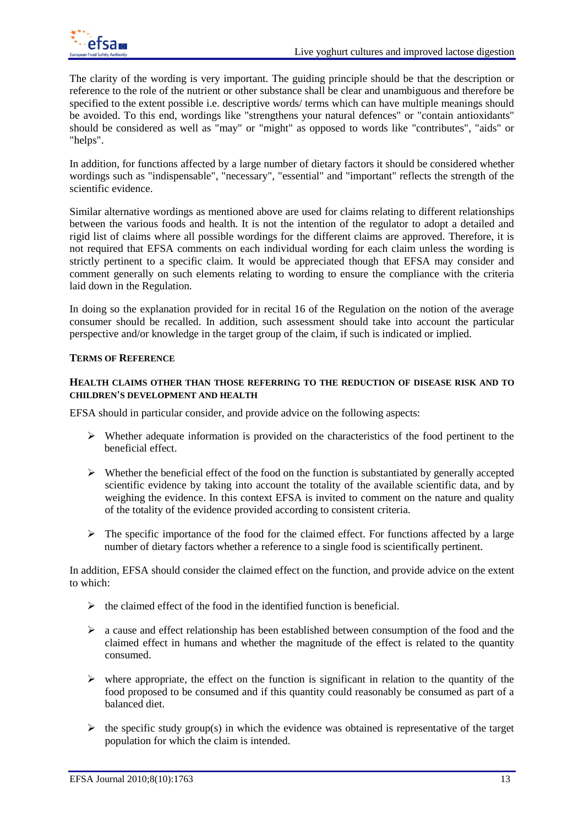The clarity of the wording is very important. The guiding principle should be that the description or reference to the role of the nutrient or other substance shall be clear and unambiguous and therefore be specified to the extent possible i.e. descriptive words/ terms which can have multiple meanings should be avoided. To this end, wordings like "strengthens your natural defences" or "contain antioxidants" should be considered as well as "may" or "might" as opposed to words like "contributes", "aids" or "helps".

In addition, for functions affected by a large number of dietary factors it should be considered whether wordings such as "indispensable", "necessary", "essential" and "important" reflects the strength of the scientific evidence.

Similar alternative wordings as mentioned above are used for claims relating to different relationships between the various foods and health. It is not the intention of the regulator to adopt a detailed and rigid list of claims where all possible wordings for the different claims are approved. Therefore, it is not required that EFSA comments on each individual wording for each claim unless the wording is strictly pertinent to a specific claim. It would be appreciated though that EFSA may consider and comment generally on such elements relating to wording to ensure the compliance with the criteria laid down in the Regulation.

In doing so the explanation provided for in recital 16 of the Regulation on the notion of the average consumer should be recalled. In addition, such assessment should take into account the particular perspective and/or knowledge in the target group of the claim, if such is indicated or implied.

#### **TERMS OF REFERENCE**

#### **HEALTH CLAIMS OTHER THAN THOSE REFERRING TO THE REDUCTION OF DISEASE RISK AND TO CHILDREN'S DEVELOPMENT AND HEALTH**

EFSA should in particular consider, and provide advice on the following aspects:

- $\triangleright$  Whether adequate information is provided on the characteristics of the food pertinent to the beneficial effect.
- $\triangleright$  Whether the beneficial effect of the food on the function is substantiated by generally accepted scientific evidence by taking into account the totality of the available scientific data, and by weighing the evidence. In this context EFSA is invited to comment on the nature and quality of the totality of the evidence provided according to consistent criteria.
- $\triangleright$  The specific importance of the food for the claimed effect. For functions affected by a large number of dietary factors whether a reference to a single food is scientifically pertinent.

In addition, EFSA should consider the claimed effect on the function, and provide advice on the extent to which:

- $\triangleright$  the claimed effect of the food in the identified function is beneficial.
- $\triangleright$  a cause and effect relationship has been established between consumption of the food and the claimed effect in humans and whether the magnitude of the effect is related to the quantity consumed.
- $\triangleright$  where appropriate, the effect on the function is significant in relation to the quantity of the food proposed to be consumed and if this quantity could reasonably be consumed as part of a balanced diet.
- $\triangleright$  the specific study group(s) in which the evidence was obtained is representative of the target population for which the claim is intended.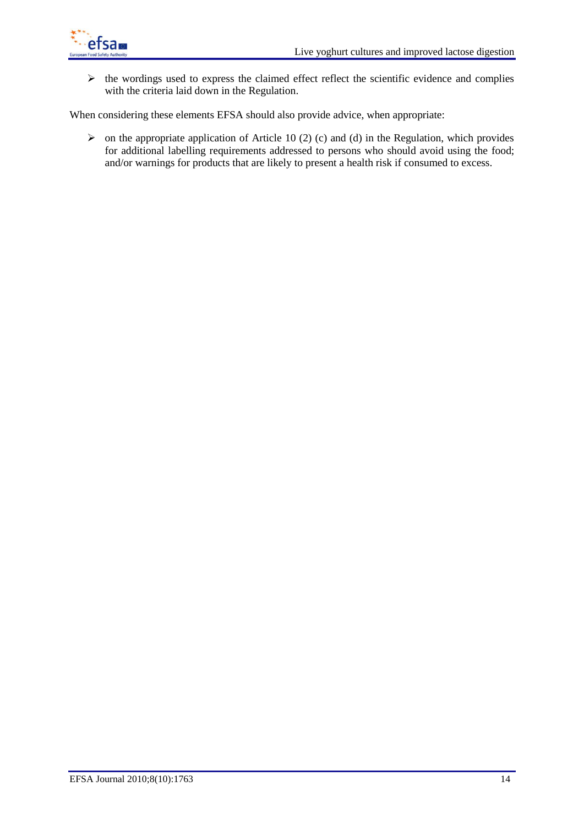

 $\triangleright$  the wordings used to express the claimed effect reflect the scientific evidence and complies with the criteria laid down in the Regulation.

When considering these elements EFSA should also provide advice, when appropriate:

 $\triangleright$  on the appropriate application of Article 10 (2) (c) and (d) in the Regulation, which provides for additional labelling requirements addressed to persons who should avoid using the food; and/or warnings for products that are likely to present a health risk if consumed to excess.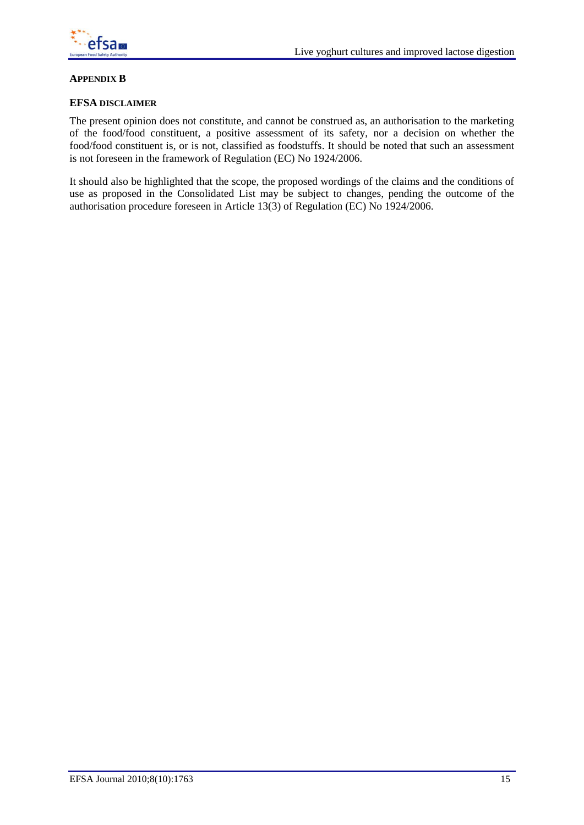

## **APPENDIX B**

#### **EFSA DISCLAIMER**

The present opinion does not constitute, and cannot be construed as, an authorisation to the marketing of the food/food constituent, a positive assessment of its safety, nor a decision on whether the food/food constituent is, or is not, classified as foodstuffs. It should be noted that such an assessment is not foreseen in the framework of Regulation (EC) No 1924/2006.

It should also be highlighted that the scope, the proposed wordings of the claims and the conditions of use as proposed in the Consolidated List may be subject to changes, pending the outcome of the authorisation procedure foreseen in Article 13(3) of Regulation (EC) No 1924/2006.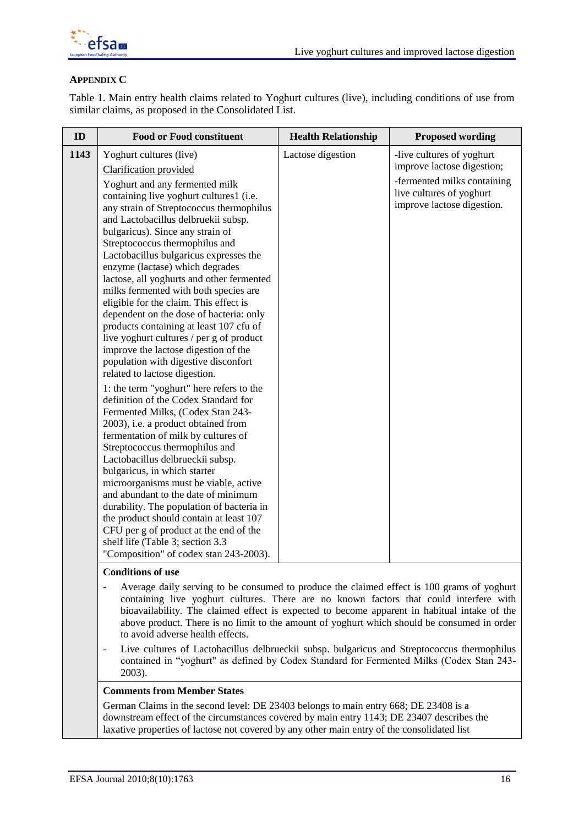

## **APPENDIX C**

Table 1. Main entry health claims related to Yoghurt cultures (live), including conditions of use from similar claims, as proposed in the Consolidated List.

| ID   | <b>Food or Food constituent</b>                                                                                                                                                                                                                                                                                                                                                                                                                                                                                                                                                                                                                                                                                                                                                                                                                                                                                                                                                                                                                                                                                                                                                                                                                                                                                                                                                                         | <b>Health Relationship</b> | <b>Proposed wording</b>                                                                                                                          |
|------|---------------------------------------------------------------------------------------------------------------------------------------------------------------------------------------------------------------------------------------------------------------------------------------------------------------------------------------------------------------------------------------------------------------------------------------------------------------------------------------------------------------------------------------------------------------------------------------------------------------------------------------------------------------------------------------------------------------------------------------------------------------------------------------------------------------------------------------------------------------------------------------------------------------------------------------------------------------------------------------------------------------------------------------------------------------------------------------------------------------------------------------------------------------------------------------------------------------------------------------------------------------------------------------------------------------------------------------------------------------------------------------------------------|----------------------------|--------------------------------------------------------------------------------------------------------------------------------------------------|
| 1143 | Yoghurt cultures (live)<br><b>Clarification</b> provided<br>Yoghurt and any fermented milk<br>containing live yoghurt cultures1 (i.e.<br>any strain of Streptococcus thermophilus<br>and Lactobacillus delbruekii subsp.<br>bulgaricus). Since any strain of<br>Streptococcus thermophilus and<br>Lactobacillus bulgaricus expresses the<br>enzyme (lactase) which degrades<br>lactose, all yoghurts and other fermented<br>milks fermented with both species are<br>eligible for the claim. This effect is<br>dependent on the dose of bacteria: only<br>products containing at least 107 cfu of<br>live yoghurt cultures / per g of product<br>improve the lactose digestion of the<br>population with digestive disconfort<br>related to lactose digestion.<br>1: the term "yoghurt" here refers to the<br>definition of the Codex Standard for<br>Fermented Milks, (Codex Stan 243-<br>2003), i.e. a product obtained from<br>fermentation of milk by cultures of<br>Streptococcus thermophilus and<br>Lactobacillus delbrueckii subsp.<br>bulgaricus, in which starter<br>microorganisms must be viable, active<br>and abundant to the date of minimum<br>durability. The population of bacteria in<br>the product should contain at least 107<br>CFU per g of product at the end of the<br>shelf life (Table 3; section 3.3<br>"Composition" of codex stan 243-2003).<br><b>Conditions of use</b> | Lactose digestion          | -live cultures of yoghurt<br>improve lactose digestion;<br>-fermented milks containing<br>live cultures of yoghurt<br>improve lactose digestion. |
|      |                                                                                                                                                                                                                                                                                                                                                                                                                                                                                                                                                                                                                                                                                                                                                                                                                                                                                                                                                                                                                                                                                                                                                                                                                                                                                                                                                                                                         |                            |                                                                                                                                                  |

- Average daily serving to be consumed to produce the claimed effect is 100 grams of yoghurt containing live yoghurt cultures. There are no known factors that could interfere with bioavailability. The claimed effect is expected to become apparent in habitual intake of the above product. There is no limit to the amount of yoghurt which should be consumed in order to avoid adverse health effects.
- Live cultures of Lactobacillus delbrueckii subsp. bulgaricus and Streptococcus thermophilus contained in "yoghurt" as defined by Codex Standard for Fermented Milks (Codex Stan 243- 2003).

### **Comments from Member States**

German Claims in the second level: DE 23403 belongs to main entry 668; DE 23408 is a downstream effect of the circumstances covered by main entry 1143; DE 23407 describes the laxative properties of lactose not covered by any other main entry of the consolidated list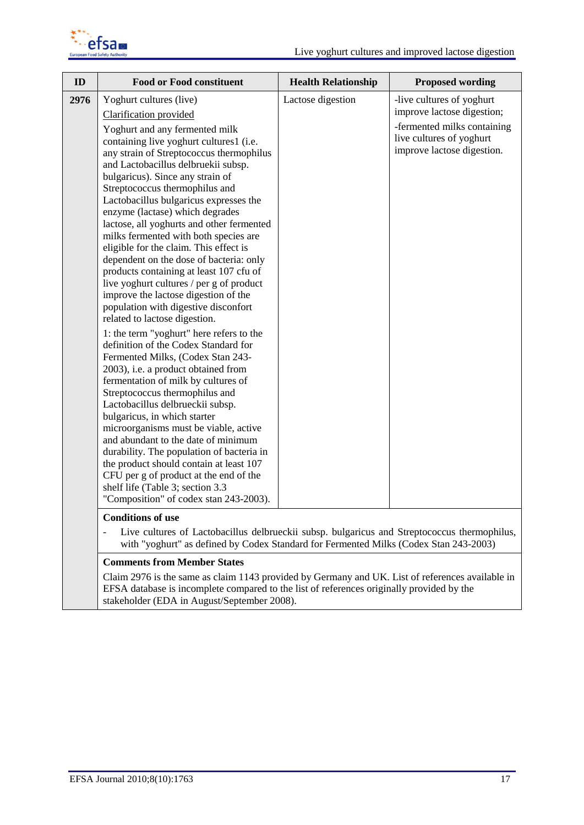

| ID   | <b>Food or Food constituent</b>                                                                                                                                                                                                                                                                                                                                                                                                                                                                                                                                                                                                                                                                                                                                                                                                                                                                                                                                                                                                                                                                                                                                                                                                                                                        | <b>Health Relationship</b> | <b>Proposed wording</b>                                                                                                                          |
|------|----------------------------------------------------------------------------------------------------------------------------------------------------------------------------------------------------------------------------------------------------------------------------------------------------------------------------------------------------------------------------------------------------------------------------------------------------------------------------------------------------------------------------------------------------------------------------------------------------------------------------------------------------------------------------------------------------------------------------------------------------------------------------------------------------------------------------------------------------------------------------------------------------------------------------------------------------------------------------------------------------------------------------------------------------------------------------------------------------------------------------------------------------------------------------------------------------------------------------------------------------------------------------------------|----------------------------|--------------------------------------------------------------------------------------------------------------------------------------------------|
| 2976 | Yoghurt cultures (live)<br>Clarification provided<br>Yoghurt and any fermented milk<br>containing live yoghurt cultures1 (i.e.<br>any strain of Streptococcus thermophilus<br>and Lactobacillus delbruekii subsp.<br>bulgaricus). Since any strain of<br>Streptococcus thermophilus and<br>Lactobacillus bulgaricus expresses the<br>enzyme (lactase) which degrades<br>lactose, all yoghurts and other fermented<br>milks fermented with both species are<br>eligible for the claim. This effect is<br>dependent on the dose of bacteria: only<br>products containing at least 107 cfu of<br>live yoghurt cultures / per g of product<br>improve the lactose digestion of the<br>population with digestive disconfort<br>related to lactose digestion.<br>1: the term "yoghurt" here refers to the<br>definition of the Codex Standard for<br>Fermented Milks, (Codex Stan 243-<br>2003), i.e. a product obtained from<br>fermentation of milk by cultures of<br>Streptococcus thermophilus and<br>Lactobacillus delbrueckii subsp.<br>bulgaricus, in which starter<br>microorganisms must be viable, active<br>and abundant to the date of minimum<br>durability. The population of bacteria in<br>the product should contain at least 107<br>CFU per g of product at the end of the | Lactose digestion          | -live cultures of yoghurt<br>improve lactose digestion;<br>-fermented milks containing<br>live cultures of yoghurt<br>improve lactose digestion. |
|      | shelf life (Table 3; section 3.3<br>"Composition" of codex stan 243-2003).                                                                                                                                                                                                                                                                                                                                                                                                                                                                                                                                                                                                                                                                                                                                                                                                                                                                                                                                                                                                                                                                                                                                                                                                             |                            |                                                                                                                                                  |
|      | <b>Conditions of use</b>                                                                                                                                                                                                                                                                                                                                                                                                                                                                                                                                                                                                                                                                                                                                                                                                                                                                                                                                                                                                                                                                                                                                                                                                                                                               |                            |                                                                                                                                                  |

Live cultures of Lactobacillus delbrueckii subsp. bulgaricus and Streptococcus thermophilus, with "yoghurt" as defined by Codex Standard for Fermented Milks (Codex Stan 243-2003)

### **Comments from Member States**

Claim 2976 is the same as claim 1143 provided by Germany and UK. List of references available in EFSA database is incomplete compared to the list of references originally provided by the stakeholder (EDA in August/September 2008).